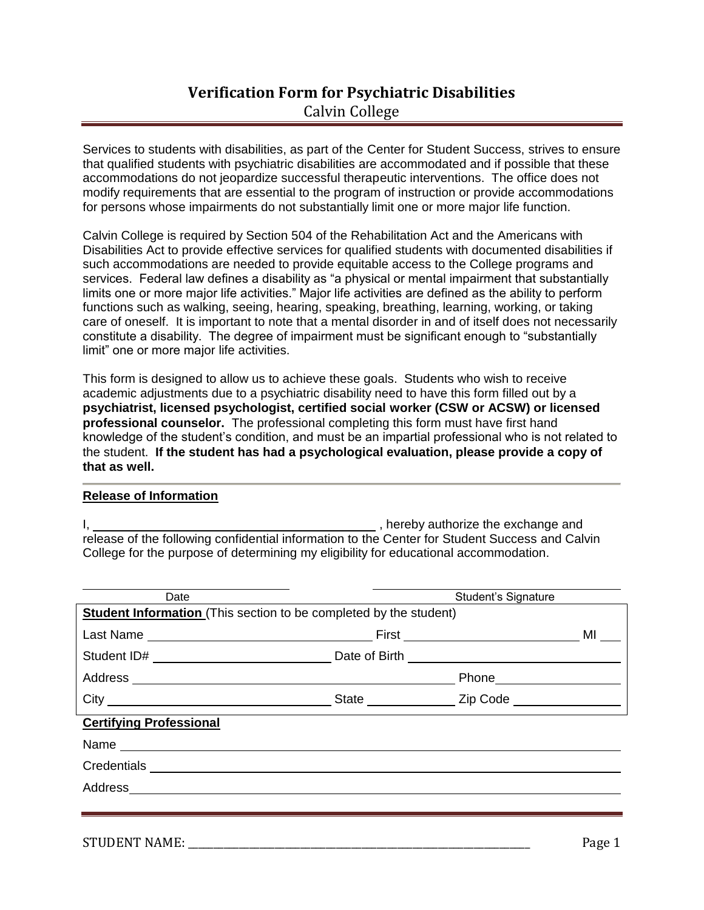## **Verification Form for Psychiatric Disabilities** Calvin College

Services to students with disabilities, as part of the Center for Student Success, strives to ensure that qualified students with psychiatric disabilities are accommodated and if possible that these accommodations do not jeopardize successful therapeutic interventions. The office does not modify requirements that are essential to the program of instruction or provide accommodations for persons whose impairments do not substantially limit one or more major life function.

Calvin College is required by Section 504 of the Rehabilitation Act and the Americans with Disabilities Act to provide effective services for qualified students with documented disabilities if such accommodations are needed to provide equitable access to the College programs and services. Federal law defines a disability as "a physical or mental impairment that substantially limits one or more major life activities." Major life activities are defined as the ability to perform functions such as walking, seeing, hearing, speaking, breathing, learning, working, or taking care of oneself. It is important to note that a mental disorder in and of itself does not necessarily constitute a disability. The degree of impairment must be significant enough to "substantially limit" one or more major life activities.

This form is designed to allow us to achieve these goals. Students who wish to receive academic adjustments due to a psychiatric disability need to have this form filled out by a **psychiatrist, licensed psychologist, certified social worker (CSW or ACSW) or licensed professional counselor.** The professional completing this form must have first hand knowledge of the student's condition, and must be an impartial professional who is not related to the student. **If the student has had a psychological evaluation, please provide a copy of that as well.**

### **Release of Information**

I,  $\frac{1}{2}$  , hereby authorize the exchange and release of the following confidential information to the Center for Student Success and Calvin College for the purpose of determining my eligibility for educational accommodation.

| Date                           |                                                                          | <b>Student's Signature</b>     |    |  |
|--------------------------------|--------------------------------------------------------------------------|--------------------------------|----|--|
|                                | <b>Student Information</b> (This section to be completed by the student) |                                |    |  |
|                                |                                                                          | First ________________________ | MI |  |
|                                |                                                                          |                                |    |  |
|                                |                                                                          | Phone_____________________     |    |  |
|                                | City City City Code                                                      |                                |    |  |
| <b>Certifying Professional</b> |                                                                          |                                |    |  |
|                                |                                                                          |                                |    |  |
|                                |                                                                          |                                |    |  |
|                                |                                                                          |                                |    |  |
|                                |                                                                          |                                |    |  |
|                                |                                                                          |                                |    |  |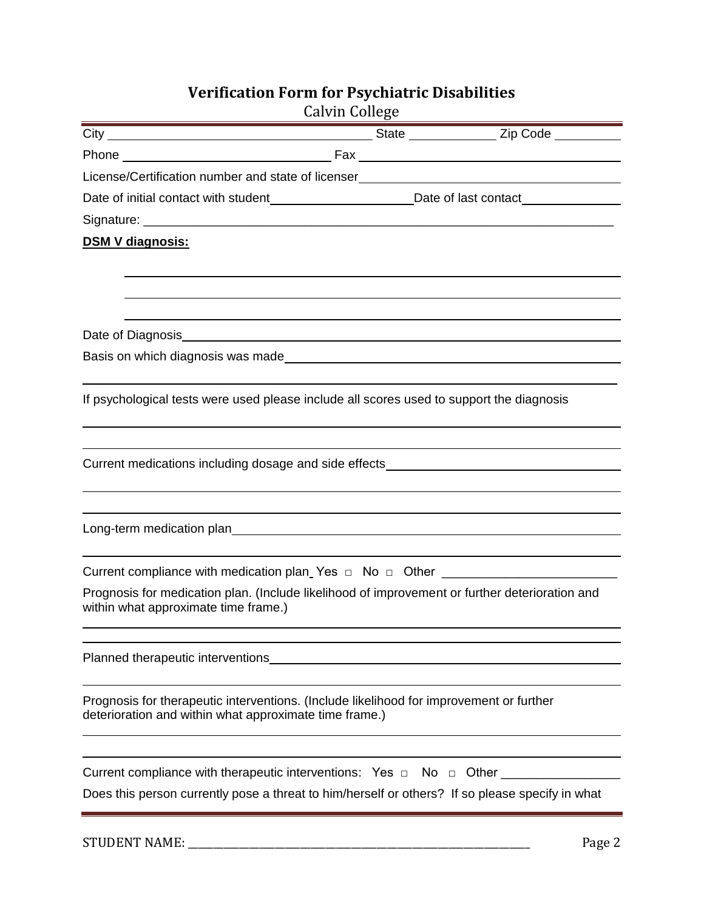# **Verification Form for Psychiatric Disabilities**

| License/Certification number and state of licenser______________________________                                                                  |        |
|---------------------------------------------------------------------------------------------------------------------------------------------------|--------|
| Date of initial contact with student___________________________Date of last contact________________                                               |        |
|                                                                                                                                                   |        |
| <b>DSM V diagnosis:</b>                                                                                                                           |        |
|                                                                                                                                                   |        |
|                                                                                                                                                   |        |
|                                                                                                                                                   |        |
|                                                                                                                                                   |        |
|                                                                                                                                                   |        |
| If psychological tests were used please include all scores used to support the diagnosis                                                          |        |
|                                                                                                                                                   |        |
| Current medications including dosage and side effects___________________________                                                                  |        |
|                                                                                                                                                   |        |
|                                                                                                                                                   |        |
|                                                                                                                                                   |        |
|                                                                                                                                                   |        |
| Current compliance with medication plan_Yes □ No □ Other _______________________                                                                  |        |
| Prognosis for medication plan. (Include likelihood of improvement or further deterioration and<br>within what approximate time frame.)            |        |
| Planned therapeutic interventions                                                                                                                 |        |
|                                                                                                                                                   |        |
| Prognosis for therapeutic interventions. (Include likelihood for improvement or further<br>deterioration and within what approximate time frame.) |        |
|                                                                                                                                                   |        |
| Current compliance with therapeutic interventions: Yes $\Box$ No $\Box$ Other                                                                     |        |
| Does this person currently pose a threat to him/herself or others? If so please specify in what                                                   |        |
|                                                                                                                                                   |        |
| <b>STUDENT NAME:</b>                                                                                                                              | Page 2 |